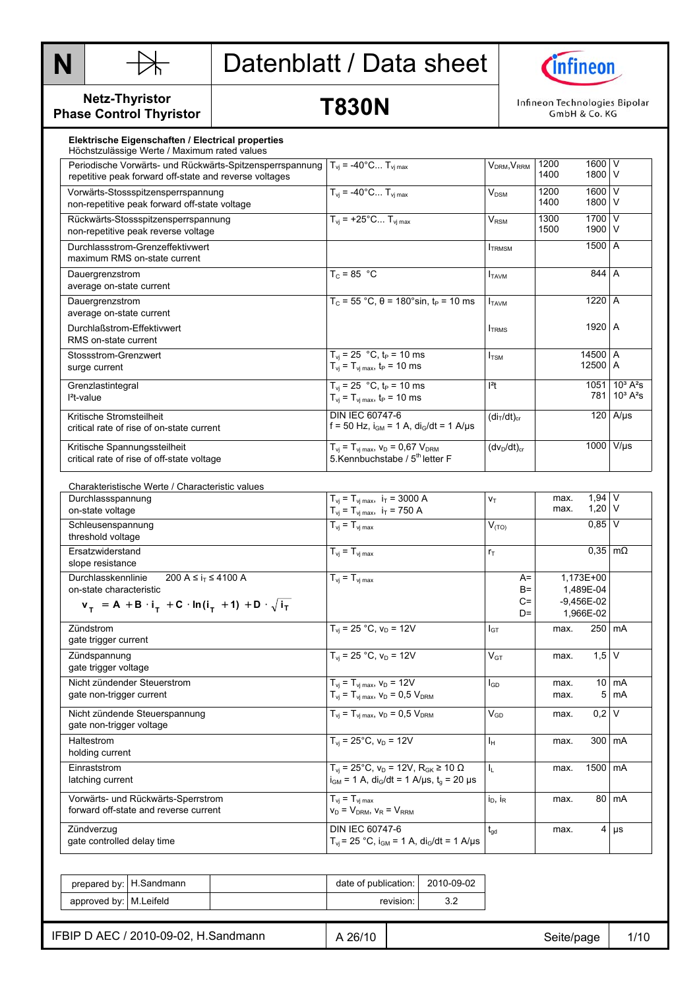



**Netz-Thyristor Phase Control Thyristor** 

### **T830N**

Infineon Technologies Bipolar GmbH & Co. KG

| Elektrische Eigenschaften / Electrical properties<br>Höchstzulässige Werte / Maximum rated values                                                                      |                                                                                                                              |                                     |              |                                        |                                                                     |
|------------------------------------------------------------------------------------------------------------------------------------------------------------------------|------------------------------------------------------------------------------------------------------------------------------|-------------------------------------|--------------|----------------------------------------|---------------------------------------------------------------------|
| Periodische Vorwärts- und Rückwärts-Spitzensperrspannung $T_{vi}$ = -40°C T <sub>vimax</sub><br>repetitive peak forward off-state and reverse voltages                 |                                                                                                                              | V <sub>DRM</sub> , V <sub>RRM</sub> | 1200<br>1400 | 1600 V<br>1800 V                       |                                                                     |
| Vorwärts-Stossspitzensperrspannung<br>non-repetitive peak forward off-state voltage                                                                                    | $T_{vi}$ = -40°C $T_{vi \, max}$                                                                                             | $V_{DSM}$                           | 1200<br>1400 | 1600 V<br>1800 V                       |                                                                     |
| Rückwärts-Stossspitzensperrspannung<br>non-repetitive peak reverse voltage                                                                                             | $T_{vi}$ = +25°C $T_{vi}$ max                                                                                                | $V_{\rm RSM}$                       | 1300<br>1500 | 1700 V<br>1900 V                       |                                                                     |
| Durchlassstrom-Grenzeffektivwert<br>maximum RMS on-state current                                                                                                       |                                                                                                                              | <b>ITRMSM</b>                       |              | 1500 A                                 |                                                                     |
| Dauergrenzstrom<br>average on-state current                                                                                                                            | $T_c = 85 °C$                                                                                                                | <b>I</b> TAVM                       |              | 844 A                                  |                                                                     |
| Dauergrenzstrom<br>average on-state current                                                                                                                            | $T_c = 55 °C$ , $\theta = 180 °\sin, t_P = 10$ ms                                                                            | I <sub>TAVM</sub>                   |              | 1220 A                                 |                                                                     |
| Durchlaßstrom-Effektivwert<br>RMS on-state current                                                                                                                     |                                                                                                                              | I <sub>TRMS</sub>                   |              | 1920 A                                 |                                                                     |
| Stossstrom-Grenzwert<br>surge current                                                                                                                                  | $T_{vi}$ = 25 °C, t <sub>P</sub> = 10 ms<br>$T_{\rm vj} = T_{\rm vj \, max}$ , $t_{\rm P} = 10 \, \text{ms}$                 | <b>I</b> <sub>TSM</sub>             |              | 14500 A<br>12500 A                     |                                                                     |
| Grenzlastintegral<br>$l^2$ t-value                                                                                                                                     | $T_{vi}$ = 25 °C, t <sub>P</sub> = 10 ms<br>$T_{vi} = T_{vi \text{ max}}$ , $t_P = 10 \text{ ms}$                            | $ ^{2}t $                           |              |                                        | 1051 10 <sup>3</sup> A <sup>2</sup> s<br>$781 \,   \, 10^3 \, A^2s$ |
| Kritische Stromsteilheit<br>critical rate of rise of on-state current                                                                                                  | <b>DIN IEC 60747-6</b><br>f = 50 Hz, $i_{GM}$ = 1 A, $di_G/dt$ = 1 A/µs                                                      | (di <sub>T</sub> /dt) <sub>cr</sub> |              |                                        | $120$ A/µs                                                          |
| Kritische Spannungssteilheit<br>critical rate of rise of off-state voltage                                                                                             | $T_{vi} = T_{vi \, max}$ , $V_D = 0.67 V_{DRM}$<br>5. Kennbuchstabe / 5 <sup>th</sup> letter F                               | $(dv_D/dt)_{cr}$                    |              |                                        | 1000 V/µs                                                           |
| Charakteristische Werte / Characteristic values                                                                                                                        |                                                                                                                              |                                     |              |                                        |                                                                     |
| Durchlassspannung<br>on-state voltage                                                                                                                                  | $T_{vi} = T_{vi \, max}$ , $i_T = 3000 \, \text{A}$<br>$T_{\rm vj} = T_{\rm vj \, max}, \, i_{\rm T} = 750 \, \text{A}$      | Vт                                  | max.<br>max. | $1,94$ V<br>$1,20$ V                   |                                                                     |
| Schleusenspannung<br>threshold voltage                                                                                                                                 | $T_{vi} = T_{vi \, max}$                                                                                                     | $V_{(TO)}$                          |              | $0.85$ V                               |                                                                     |
| Ersatzwiderstand<br>slope resistance                                                                                                                                   | $T_{\rm vj} = T_{\rm vj \, max}$                                                                                             | $r_{\rm T}$                         |              | $0.35 \, \text{m}\Omega$               |                                                                     |
| 200 A ≤ i <sub>T</sub> ≤ 4100 A<br>Durchlasskennlinie<br>on-state characteristic<br>$v_{T}$ = A + B · i <sub>r</sub> + C · ln(i <sub>r</sub> + 1) + D · $\sqrt{i_{T}}$ | $T_{vi} = T_{vi \, max}$                                                                                                     | $A=$<br>B=<br>$C =$                 |              | 1,173E+00<br>1,489E-04<br>$-9,456E-02$ |                                                                     |
| Zündstrom                                                                                                                                                              | $T_{vi}$ = 25 °C, $v_D$ = 12V                                                                                                | $D=$<br>$I_{GT}$                    | max.         | 1,966E-02                              | 250 mA                                                              |
| gate trigger current                                                                                                                                                   |                                                                                                                              |                                     |              |                                        |                                                                     |
| Zündspannung<br>gate trigger voltage                                                                                                                                   | $T_{vi}$ = 25 °C, $v_D$ = 12V                                                                                                | $\mathsf{V}_{\texttt{GT}}$          | max.         | $1.5$ V                                |                                                                     |
| Nicht zündender Steuerstrom<br>gate non-trigger current                                                                                                                | $T_{vi} = T_{vj \, max}$ , $v_D = 12V$<br>$T_{\rm vj} = T_{\rm vj \, max}$ , $V_{\rm D} = 0.5$ $V_{\rm DRM}$                 | $I_{GD}$                            | max.<br>max. |                                        | 10 mA<br>$5 \text{ mA}$                                             |
| Nicht zündende Steuerspannung<br>gate non-trigger voltage                                                                                                              | $T_{vi} = T_{vi \, max}$ , $V_D = 0.5 V_{DRM}$                                                                               | $V_{GD}$                            | max.         | $0,2$ V                                |                                                                     |
| Haltestrom<br>holding current                                                                                                                                          | $T_{vi}$ = 25°C, $v_D$ = 12V                                                                                                 | Iн                                  | max.         |                                        | 300 mA                                                              |
| Einraststrom<br>latching current                                                                                                                                       | $T_{vi}$ = 25°C, $v_D$ = 12V, $R_{GK}$ ≥ 10 $\Omega$<br>$i_{GM}$ = 1 A, di <sub>G</sub> /dt = 1 A/µs, t <sub>g</sub> = 20 µs | IL.                                 | max.         | 1500   mA                              |                                                                     |
| Vorwärts- und Rückwärts-Sperrstrom<br>forward off-state and reverse current                                                                                            | $T_{vi} = T_{vi \, max}$<br>$V_D = V_{DRM}$ , $V_R = V_{RRM}$                                                                | $i_D$ , $i_R$                       | max.         |                                        | 80 mA                                                               |
| Zündverzug                                                                                                                                                             | DIN IEC 60747-6                                                                                                              | $t_{\rm gd}$                        | max.         |                                        | $4 \mu s$                                                           |

|                         | prepared by:   H.Sandmann | date of publication: 2010-09-02 |  |
|-------------------------|---------------------------|---------------------------------|--|
| approved by: M. Leifeld |                           | revision:                       |  |

IFBIP D AEC / 2010-09-02, H.Sandmann  $AB = 26/10$   $AB = 26/10$  A 26/10  $AB = 26/10$  Seite/page  $AB = 1/10$ 

gate controlled delay time

 $T_{\text{vj}}$  = 25 °C,  $i_{\text{GM}}$  = 1 A,  $di_{\text{G}}/dt$  = 1 A/µs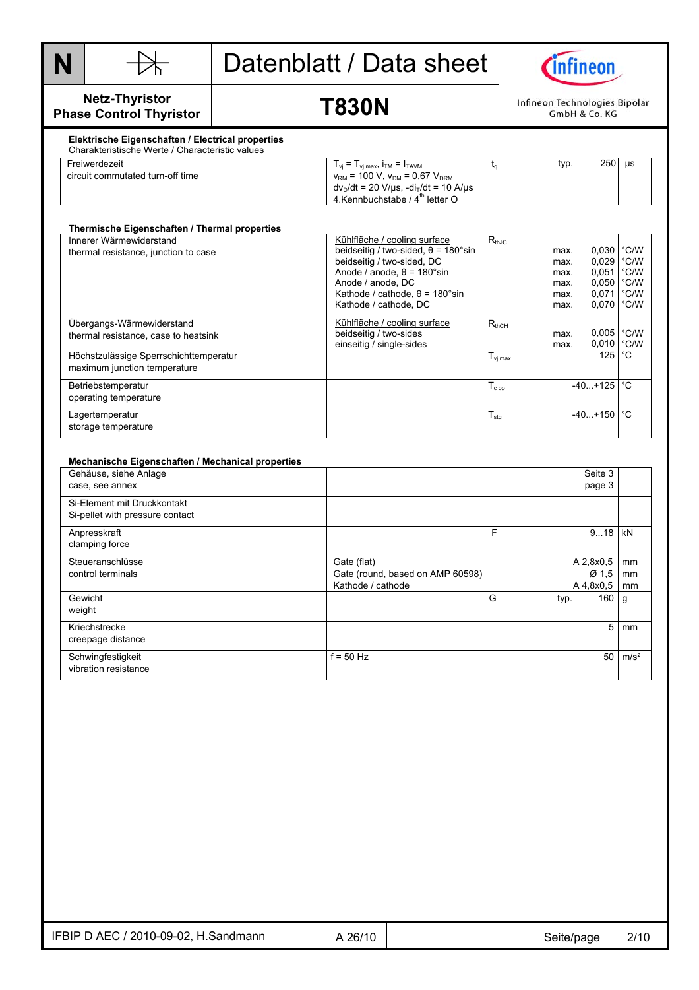



#### **Netz-Thyristor Phase Control Thyristor**

## **T830N**

Infineon Technologies Bipolar GmbH & Co. KG

#### **Elektrische Eigenschaften / Electrical properties**  Charakteristische Werte / Characteristic values

| Freiwerdezeit<br>circuit commutated turn-off time | $T_{vi}$ = $T_{vi \, max}$ , $T_{TM}$ = $T_{TAVM}$<br>$v_{\text{RM}}$ = 100 V, $v_{\text{DM}}$ = 0,67 V <sub>DRM</sub><br>$dv_D/dt = 20 \text{ V/}\mu\text{s}$ , $-di_T/dt = 10 \text{ A/}\mu\text{s}$ | typ. | 250 | us |
|---------------------------------------------------|--------------------------------------------------------------------------------------------------------------------------------------------------------------------------------------------------------|------|-----|----|
|                                                   | 4. Kennbuchstabe / 4 <sup>th</sup> letter O                                                                                                                                                            |      |     |    |

| Thermische Eigenschaften / Thermal properties |                                            |                     |      |                  |               |
|-----------------------------------------------|--------------------------------------------|---------------------|------|------------------|---------------|
| Innerer Wärmewiderstand                       | Kühlfläche / cooling surface               | $R_{thJC}$          |      |                  |               |
| thermal resistance, junction to case          | beidseitig / two-sided, $\theta$ = 180°sin |                     | max. | 0,030 °C/W       |               |
|                                               | beidseitig / two-sided, DC                 |                     | max. | 0,029            | °C/W          |
|                                               | Anode / anode, $\theta$ = 180°sin          |                     | max. | 0,051            | $\degree$ C/W |
|                                               | Anode / anode, DC                          |                     | max. | 0,050            | °C/W          |
|                                               | Kathode / cathode, $\theta$ = 180°sin      |                     | max. | 0,071            | °C/W          |
|                                               | Kathode / cathode, DC                      |                     | max. | 0.070            | °C/W          |
| Übergangs-Wärmewiderstand                     | Kühlfläche / cooling surface               | $R_{thCH}$          |      |                  |               |
| thermal resistance, case to heatsink          | beidseitig / two-sides                     |                     | max. | 0,005            | $\degree$ C/W |
|                                               | einseitig / single-sides                   |                     | max. | 0,010            | °C/W          |
| Höchstzulässige Sperrschichttemperatur        |                                            | $T_{\text{vi max}}$ |      | 125 <sub>1</sub> | °С            |
| maximum junction temperature                  |                                            |                     |      |                  |               |
| Betriebstemperatur                            |                                            | $T_{cop}$           |      | $-40+125$        | °€            |
| operating temperature                         |                                            |                     |      |                  |               |
| Lagertemperatur                               |                                            | $T_{\text{stg}}$    |      | $-40. + 150$     | °C            |
| storage temperature                           |                                            |                     |      |                  |               |
|                                               |                                            |                     |      |                  |               |

#### **Mechanische Eigenschaften / Mechanical properties**  Gehäuse, siehe Anlage case, see annex Seite 3 page 3 Si-Element mit Druckkontakt Si-pellet with pressure contact Anpresskraft clamping force F 9...18 kN **Steueranschlüsse** control terminals Gate (flat) Gate (round, based on AMP 60598) Kathode / cathode A 2,8x0,5 Ø 1,5 A 4,8x0,5 mm mm mm Gewicht weight G typ. 160 g Kriechstrecke creepage distance 5 mm **Schwingfestigkeit** vibration resistance  $f = 50$  Hz  $f = 50$  m/s<sup>2</sup>

| 2010-09-02<br>$\,$ . D AEC $^{\prime}$ $^{\prime}$<br>IFBIP<br>H.Sandmann | 26/10 | Seite/page<br>ີ | 2/10<br>$\mathbf{r}$ |
|---------------------------------------------------------------------------|-------|-----------------|----------------------|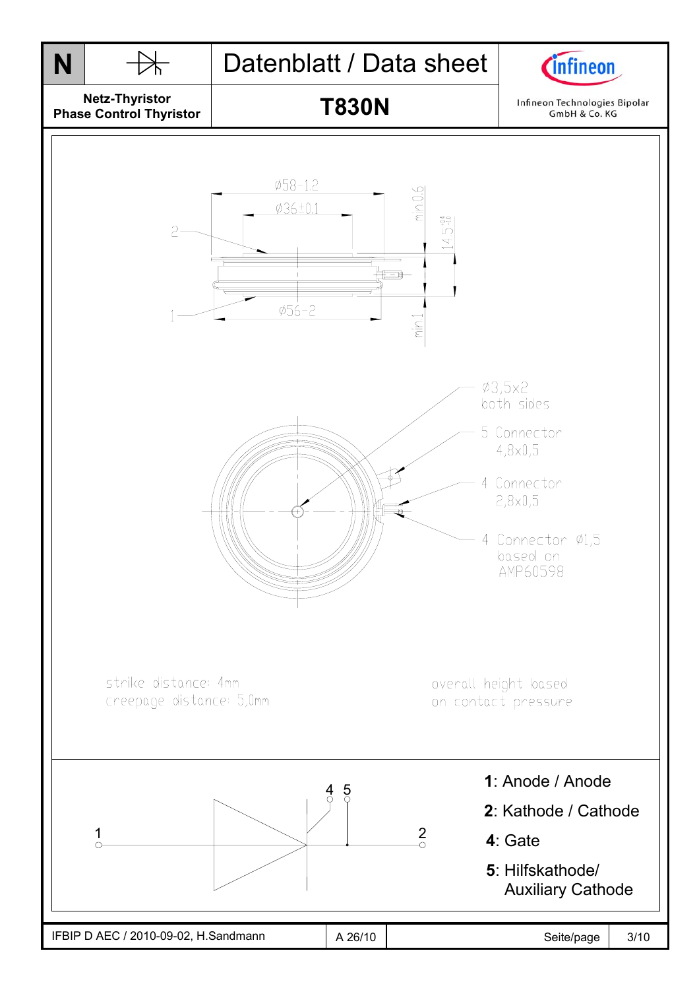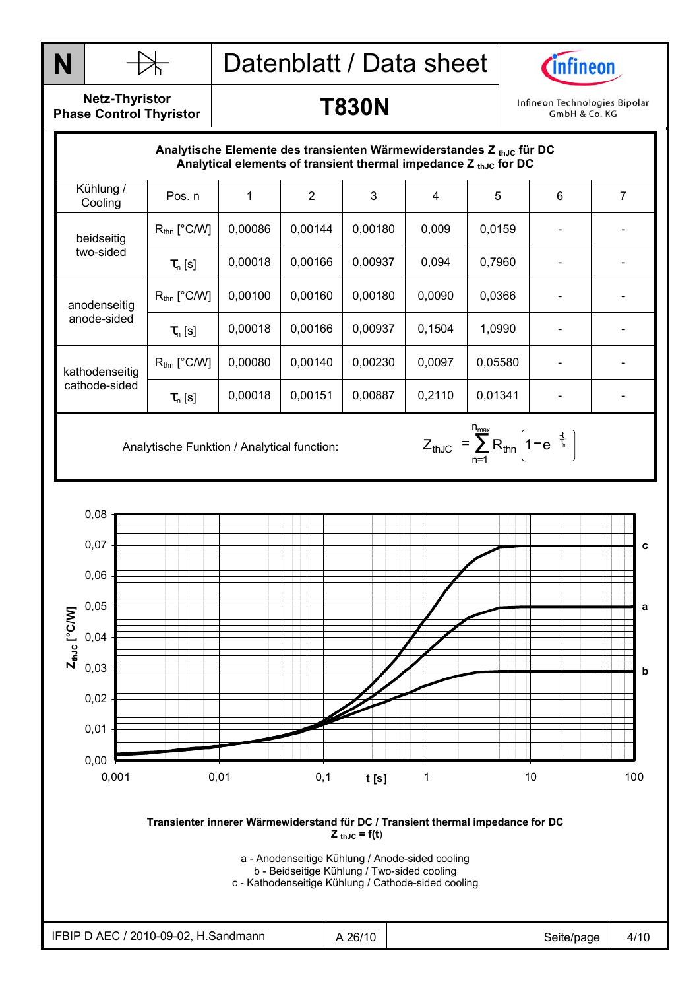



**Netz-Thyristor Phase Control Thyristor** 

### **T830N**

Infineon Technologies Bipolar GmbH & Co. KG

| Analytische Elemente des transienten Wärmewiderstandes Z $_{th,lc}$ für DC<br>Analytical elements of transient thermal impedance Z th.Jc for DC |                         |         |         |         |        |         |   |   |
|-------------------------------------------------------------------------------------------------------------------------------------------------|-------------------------|---------|---------|---------|--------|---------|---|---|
| Kühlung /<br>Cooling                                                                                                                            | Pos. n                  |         | 2       | 3       | 4      | 5       | 6 | 7 |
| beidseitig<br>two-sided                                                                                                                         | $R_{\text{thn}}$ [°C/W] | 0,00086 | 0,00144 | 0,00180 | 0,009  | 0,0159  |   |   |
|                                                                                                                                                 | $\tau_{n}$ [s]          | 0,00018 | 0,00166 | 0,00937 | 0.094  | 0,7960  |   |   |
| anodenseitig<br>anode-sided                                                                                                                     | $R_{\text{thn}}$ [°C/W] | 0.00100 | 0,00160 | 0.00180 | 0.0090 | 0.0366  |   |   |
|                                                                                                                                                 | $\tau_{n}$ [s]          | 0,00018 | 0,00166 | 0,00937 | 0,1504 | 1,0990  |   |   |
| kathodenseitig<br>cathode-sided                                                                                                                 | $R_{\text{thn}}$ [°C/W] | 0,00080 | 0,00140 | 0,00230 | 0,0097 | 0,05580 |   |   |
|                                                                                                                                                 | $\tau_{n}$ [s]          | 0,00018 | 0,00151 | 0,00887 | 0,2110 | 0.01341 |   |   |

n<sub>max</sub>

n=1 thJC  $=$   $\sum$   $R_{\text{thin}}$  | 1  $-$  e  $^{-}$   $\frac{1}{2}$  $Z_{thJC} = \sum_{\text{thn}} R_{\text{thn}} \left[ 1 - e^{-\frac{t}{\tau_c}} \right]$ 

Analytische Funktion / Analytical function:  $Z_{thJC} = \sum_{n=1}^{\infty} R_{thn} \left| 1 - e^{-\frac{1}{\zeta}} \right|$ 



**Transienter innerer Wärmewiderstand für DC / Transient thermal impedance for DC**   $Z_{thJC} = f(t)$ 

a - Anodenseitige Kühlung / Anode-sided cooling

b - Beidseitige Kühlung / Two-sided cooling

c - Kathodenseitige Kühlung / Cathode-sided cooling

| 2010-09-02<br>∴ ∆ – (<br>H.Sandmann<br>IFBIF I | 26/10 | SAITA.<br>/page | 4/10 |
|------------------------------------------------|-------|-----------------|------|
|                                                |       |                 |      |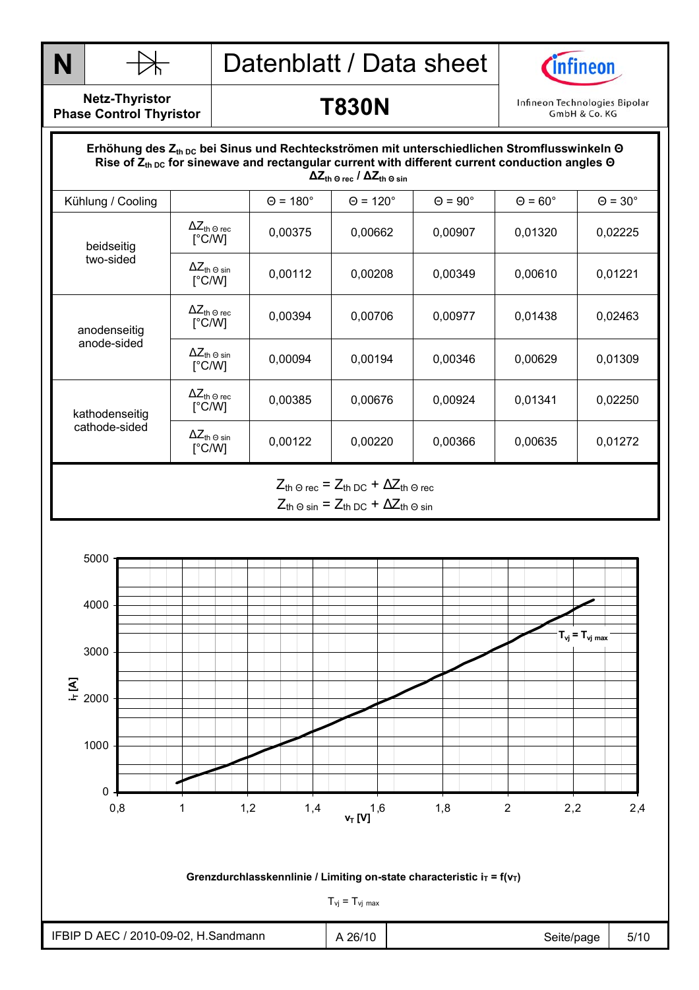



**Netz-Thyristor Phase Control Thyristor** 

#### **T830N**

Infineon Technologies Bipolar GmbH & Co. KG

#### Durchlasskennlinie  **∆Zth Θ rec / ∆Zth Θ sin** Erhöhung des Z<sub>th DC</sub> bei Sinus und Rechteckströmen mit unterschiedlichen Stromflusswinkeln Θ Rise of  $Z_{th\,DC}$  for sinewave and rectangular current with different current conduction angles Θ Kühlung / Cooling  $\begin{vmatrix} \theta = 180^\circ & \theta = 120^\circ & \theta = 90^\circ & \theta = 60^\circ & \theta = 30^\circ \end{vmatrix}$  $ΔZ<sub>th</sub> ⊙ rec$ [°C/W]  $\frac{12.16}{3}$  (rec  $\begin{bmatrix} 0.00375 \end{bmatrix}$  0,00662 0,00907 0,01320 0,02225 beidseitig two-sided  $\Delta Z_{\text{th}}$   $\odot$  sin<br> $[^{\circ}C/W]$  $\frac{12 \text{ th Q sin}}{1 \text{°C/W}}$  0,00112 0,00208 0,00349 0,00610 0,01221  $\Delta Z_{\text{th} \, \Theta \, \text{rec}}$ [°C/W]  $\begin{array}{|c|c|c|c|c|c|c|c|} \hline ^{2\text{L}} \text{th} $\theta$ & & 0,00394 & 0,00706 & 0,00977 & 0,01438 & 0,02463 \ \hline $\mathbb{C}\text{C} \text{M} & & & \end{array}$ anodenseitig anode-sided  $ΔZ<sub>th</sub> ⊕ sin$ [°C/W] <del>^</del>⊆th 9 sin | 0,00094 | 0,00194 | 0,00346 | 0,00629 | 0,01309 | 0,01309 | 0,01309 | 0,01309 | 0,01309 | 0,01309 |  $ΔZ<sub>th</sub> ⊙ rec$ [°C/W]  $\frac{12 \text{ m } \text{O} \cdot \text{FeC}}{[\text{°C/W}]}$  0,00385 0,000676 0,00924 0,01341 0,02250 kathodenseitig cathode-sided  $\Delta Z_{\text{th -0 sin}}$ <br>
[°C/W] <del>1⊂ln</del> 9 sin | 0,00122 | 0,00220 | 0,00366 | 0,00635 | 0,01272 | 0,000  $Z_{\text{th}} \ominus \text{rec}$  =  $Z_{\text{th}} \ominus \text{C}$  +  $\Delta Z_{\text{th}} \ominus \text{rec}$

 $Z_{th}$  Θ sin =  $Z_{th}$  DC +  $\Delta Z_{th}$  Θ sin

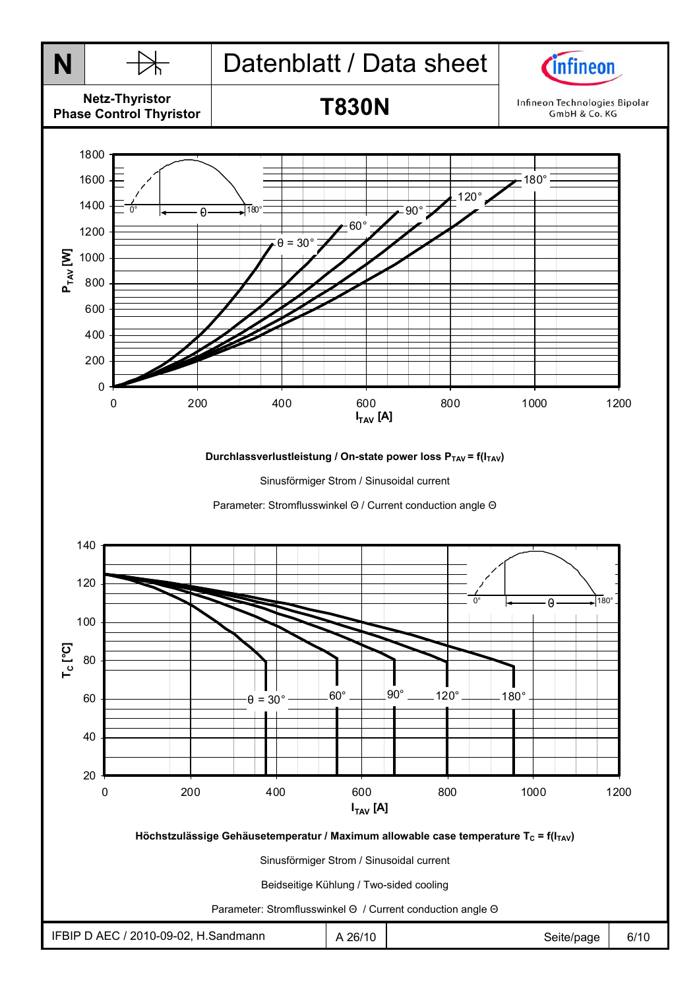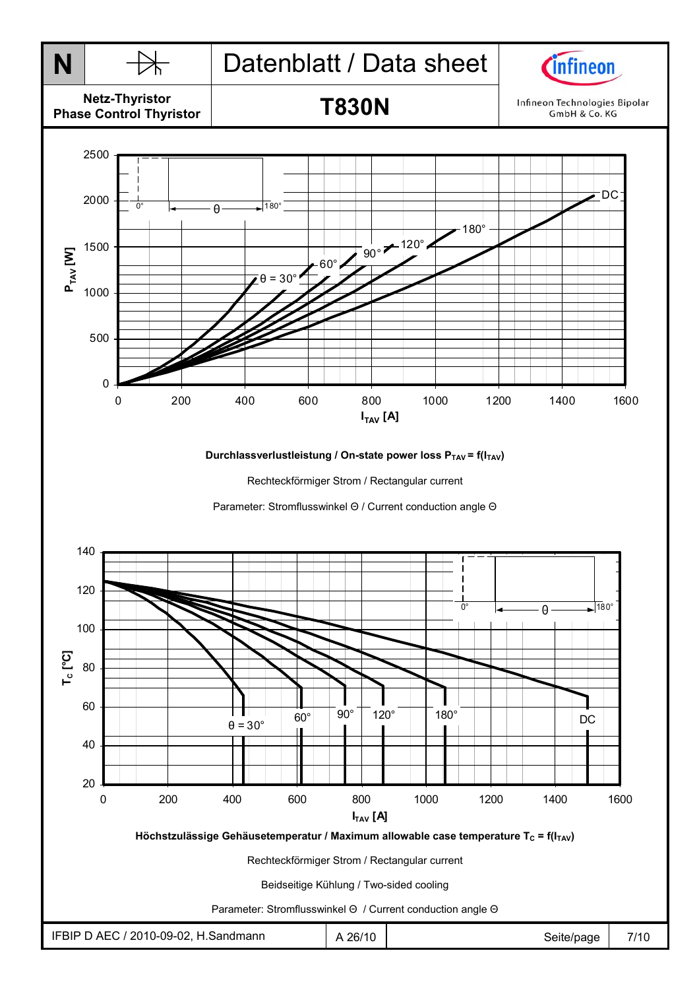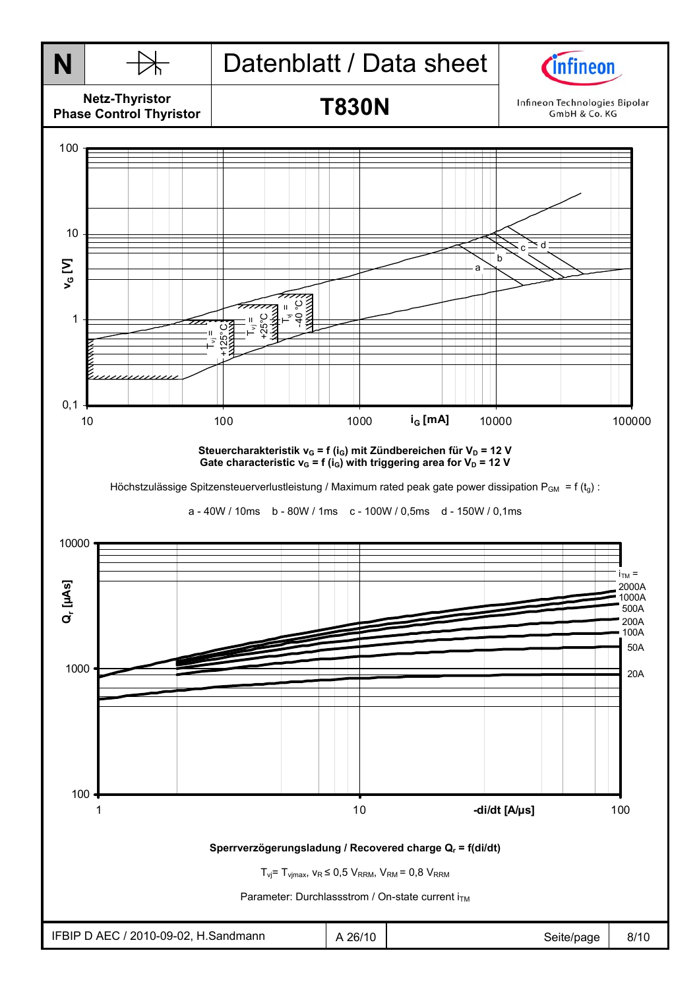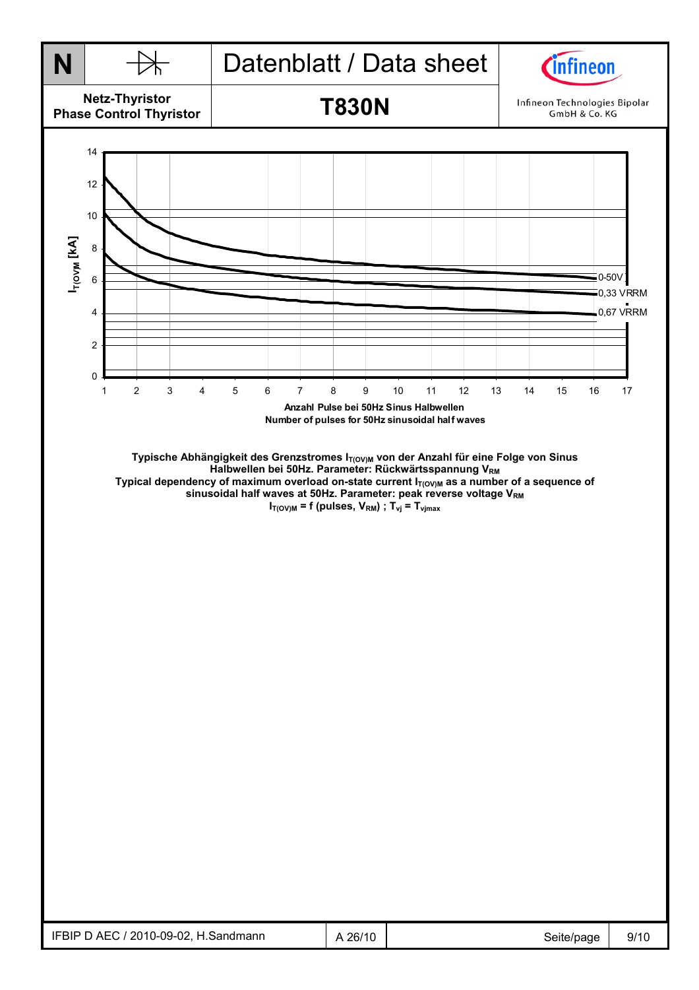